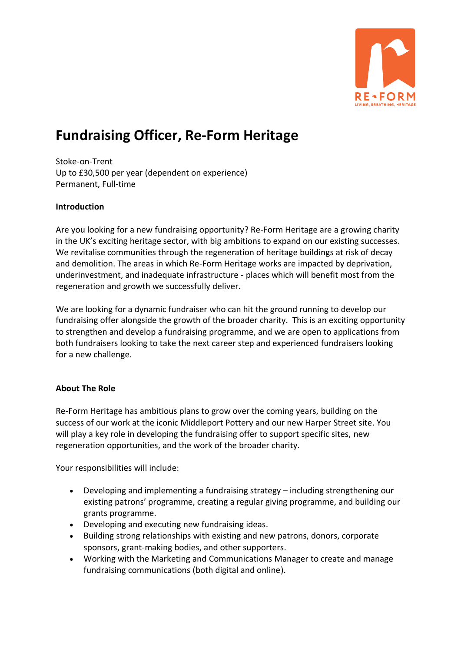

## **[Fundraising](https://www.charityjob.co.uk/jobs/adhd-uk/fundraising-manager/800937?tsId=6) Officer, [Re-Form](https://www.charityjob.co.uk/recruiter/adhd-uk/47533) Heritage**

Stoke-on-Trent Up to £30,500 per year (dependent on experience) Permanent, Full-time

## **Introduction**

Are you looking for a new fundraising opportunity? Re-Form Heritage are a growing charity in the UK's exciting heritage sector, with big ambitions to expand on our existing successes. We revitalise communities through the regeneration of heritage buildings at risk of decay and demolition. The areas in which Re-Form Heritage works are impacted by deprivation, underinvestment, and inadequate infrastructure - places which will benefit most from the regeneration and growth we successfully deliver.

We are looking for a dynamic fundraiser who can hit the ground running to develop our fundraising offer alongside the growth of the broader charity. This is an exciting opportunity to strengthen and develop a fundraising programme, and we are open to applications from both fundraisers looking to take the next career step and experienced fundraisers looking for a new challenge.

## **About The Role**

Re-Form Heritage has ambitious plans to grow over the coming years, building on the success of our work at the iconic Middleport Pottery and our new Harper Street site. You will play a key role in developing the fundraising offer to support specific sites, new regeneration opportunities, and the work of the broader charity.

Your responsibilities will include:

- Developing and implementing a fundraising strategy including strengthening our existing patrons' programme, creating a regular giving programme, and building our grants programme.
- Developing and executing new fundraising ideas.
- Building strong relationships with existing and new patrons, donors, corporate sponsors, grant-making bodies, and other supporters.
- Working with the Marketing and Communications Manager to create and manage fundraising communications (both digital and online).